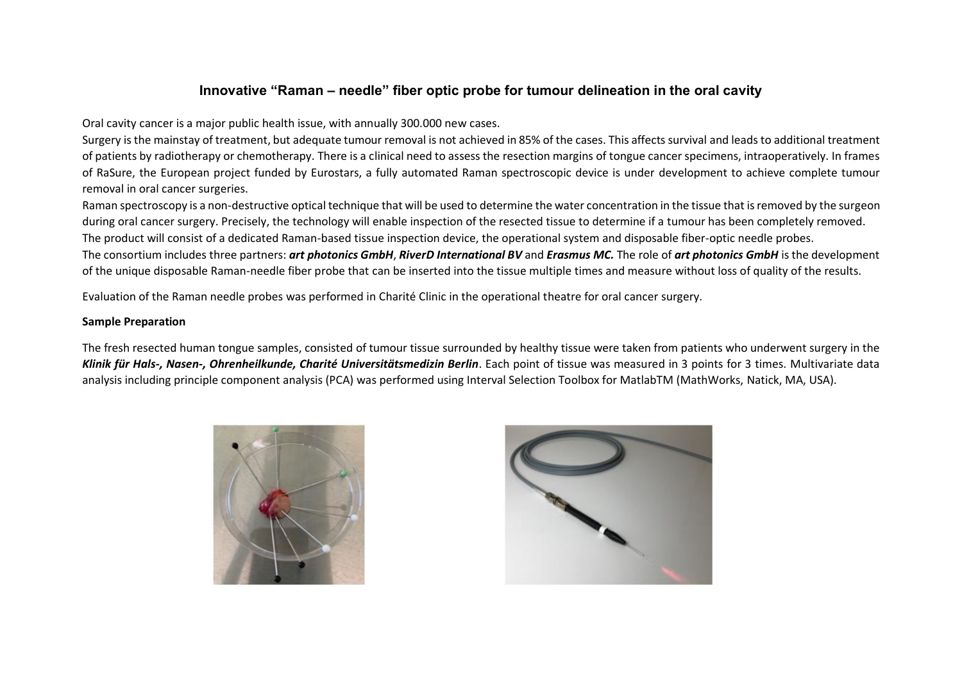# **Innovative "Raman – needle" fiber optic probe for tumour delineation in the oral cavity**

Oral cavity cancer is a major public health issue, with annually 300.000 new cases.

Surgery is the mainstay of treatment, but adequate tumour removal is not achieved in 85% of the cases. This affects survival and leads to additional treatment of patients by radiotherapy or chemotherapy. There is a clinical need to assess the resection margins of tongue cancer specimens, intraoperatively. In frames of RaSure, the European project funded by Eurostars, a fully automated Raman spectroscopic device is under development to achieve complete tumour removal in oral cancer surgeries.

Raman spectroscopy is a non-destructive optical technique that will be used to determine the water concentration in the tissue that is removed by the surgeon during oral cancer surgery. Precisely, the technology will enable inspection of the resected tissue to determine if a tumour has been completely removed. The product will consist of a dedicated Raman-based tissue inspection device, the operational system and disposable fiber-optic needle probes. The consortium includes three partners: *art photonics GmbH*, *RiverD International BV* and *Erasmus MC.* The role of *art photonics GmbH* is the development of the unique disposable Raman-needle fiber probe that can be inserted into the tissue multiple times and measure without loss of quality of the results.

Evaluation of the Raman needle probes was performed in Charité Clinic in the operational theatre for oral cancer surgery.

# **Sample Preparation**

The fresh resected human tongue samples, consisted of tumour tissue surrounded by healthy tissue were taken from patients who underwent surgery in the *Klinik für Hals-, Nasen-, Ohrenheilkunde, Charité Universitätsmedizin Berlin*. Each point of tissue was measured in 3 points for 3 times. Multivariate data analysis including principle component analysis (PCA) was performed using Interval Selection Toolbox for MatlabTM (MathWorks, Natick, MA, USA).



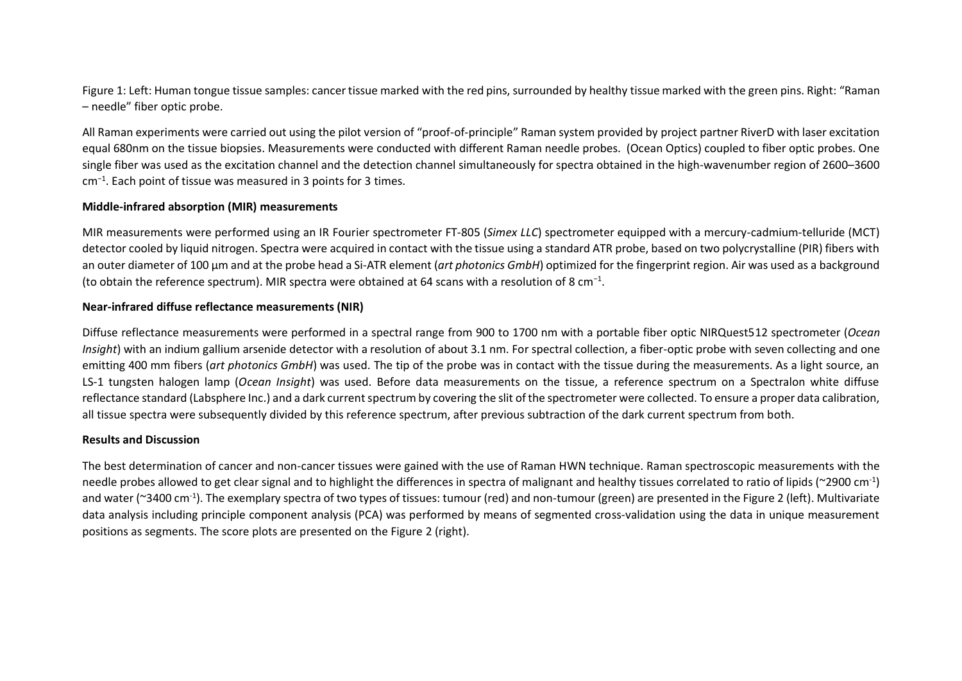Figure 1: Left: Human tongue tissue samples: cancer tissue marked with the red pins, surrounded by healthy tissue marked with the green pins. Right: "Raman – needle" fiber optic probe.

All Raman experiments were carried out using the pilot version of "proof-of-principle" Raman system provided by project partner RiverD with laser excitation equal 680nm on the tissue biopsies. Measurements were conducted with different Raman needle probes. (Ocean Optics) coupled to fiber optic probes. One single fiber was used as the excitation channel and the detection channel simultaneously for spectra obtained in the high-wavenumber region of 2600–3600 cm<sup>−</sup><sup>1</sup> . Each point of tissue was measured in 3 points for 3 times.

### **Middle-infrared absorption (MIR) measurements**

MIR measurements were performed using an IR Fourier spectrometer FT-805 (*Simex LLC*) spectrometer equipped with a mercury-cadmium-telluride (MCT) detector cooled by liquid nitrogen. Spectra were acquired in contact with the tissue using a standard ATR probe, based on two polycrystalline (PIR) fibers with an outer diameter of 100 μm and at the probe head a Si-ATR element (*art photonics GmbH*) optimized for the fingerprint region. Air was used as a background (to obtain the reference spectrum). MIR spectra were obtained at 64 scans with a resolution of 8 cm<sup>-1</sup>.

# **Near-infrared diffuse reflectance measurements (NIR)**

Diffuse reflectance measurements were performed in a spectral range from 900 to 1700 nm with a portable fiber optic NIRQuest512 spectrometer (*Ocean Insight*) with an indium gallium arsenide detector with a resolution of about 3.1 nm. For spectral collection, a fiber-optic probe with seven collecting and one emitting 400 mm fibers (*art photonics GmbH*) was used. The tip of the probe was in contact with the tissue during the measurements. As a light source, an LS-1 tungsten halogen lamp (*Ocean Insight*) was used. Before data measurements on the tissue, a reference spectrum on a Spectralon white diffuse reflectance standard (Labsphere Inc.) and a dark current spectrum by covering the slit of the spectrometer were collected. To ensure a proper data calibration, all tissue spectra were subsequently divided by this reference spectrum, after previous subtraction of the dark current spectrum from both.

### **Results and Discussion**

The best determination of cancer and non-cancer tissues were gained with the use of Raman HWN technique. Raman spectroscopic measurements with the needle probes allowed to get clear signal and to highlight the differences in spectra of malignant and healthy tissues correlated to ratio of lipids (~2900 cm<sup>-1</sup>) and water (~3400 cm-1 ). The exemplary spectra of two types of tissues: tumour (red) and non-tumour (green) are presented in the Figure 2 (left). Multivariate data analysis including principle component analysis (PCA) was performed by means of segmented cross-validation using the data in unique measurement positions as segments. The score plots are presented on the Figure 2 (right).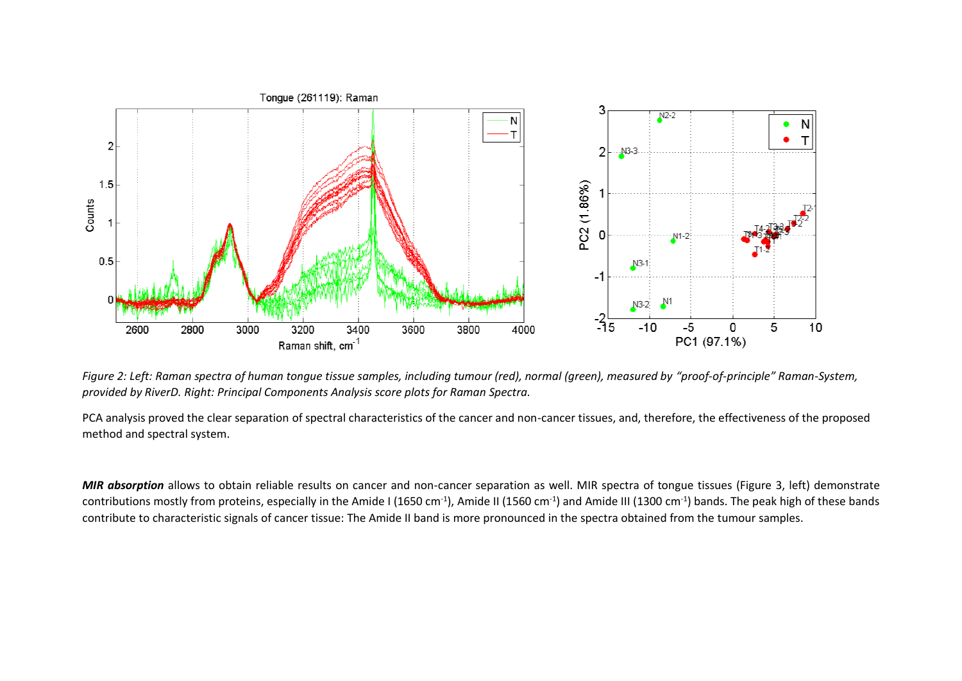

*Figure 2: Left: Raman spectra of human tongue tissue samples, including tumour (red), normal (green), measured by "proof-of-principle" Raman-System, provided by RiverD. Right: Principal Components Analysis score plots for Raman Spectra.* 

PCA analysis proved the clear separation of spectral characteristics of the cancer and non-cancer tissues, and, therefore, the effectiveness of the proposed method and spectral system.

*MIR absorption* allows to obtain reliable results on cancer and non-cancer separation as well. MIR spectra of tongue tissues (Figure 3, left) demonstrate contributions mostly from proteins, especially in the Amide I (1650 cm<sup>-1</sup>), Amide II (1560 cm<sup>-1</sup>) and Amide III (1300 cm<sup>-1</sup>) bands. The peak high of these bands contribute to characteristic signals of cancer tissue: The Amide II band is more pronounced in the spectra obtained from the tumour samples.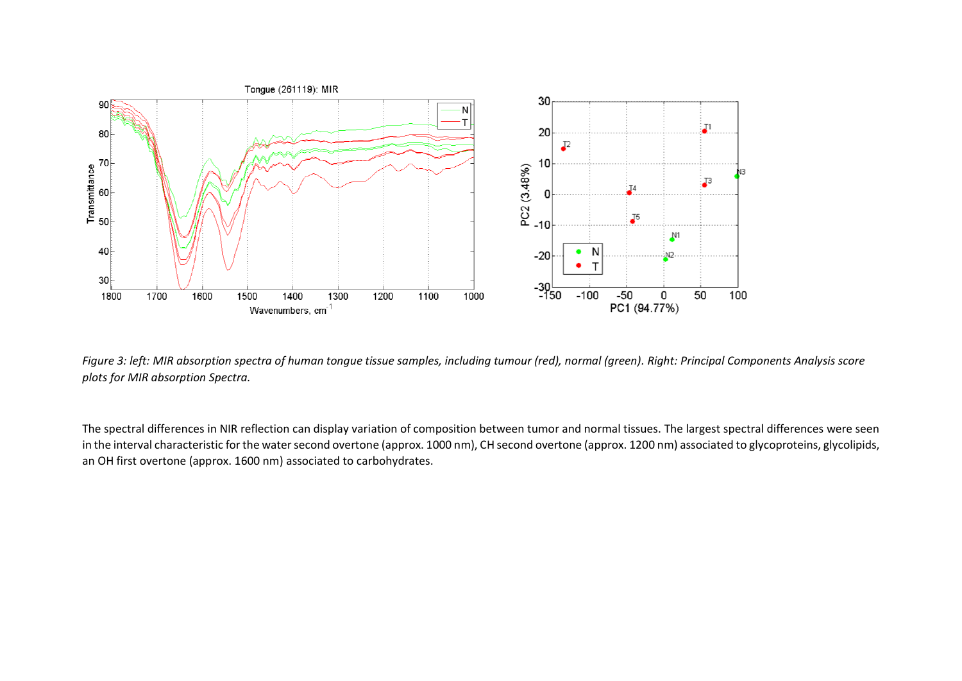

*Figure 3: left: MIR absorption spectra of human tongue tissue samples, including tumour (red), normal (green). Right: Principal Components Analysis score plots for MIR absorption Spectra.* 

The spectral differences in NIR reflection can display variation of composition between tumor and normal tissues. The largest spectral differences were seen in the interval characteristic for the water second overtone (approx. 1000 nm), CH second overtone (approx. 1200 nm) associated to glycoproteins, glycolipids, an OH first overtone (approx. 1600 nm) associated to carbohydrates.